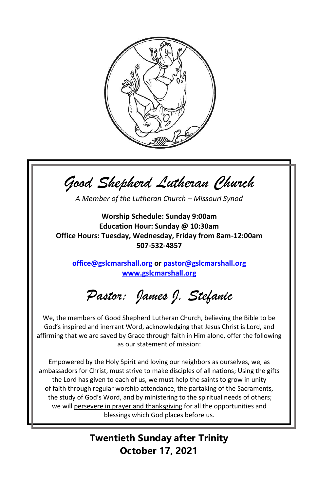

*Good Shepherd Lutheran Church*

*A Member of the Lutheran Church – Missouri Synod*

**Worship Schedule: Sunday 9:00am Education Hour: Sunday @ 10:30am Office Hours: Tuesday, Wednesday, Friday from 8am-12:00am 507-532-4857**

**[office@gslcmarshall.org](mailto:office@gslcmarshall.org) o[r pastor@gslcmarshall.org](mailto:pastor@gslcmarshall.org) [www.gslcmarshall.org](http://www.gslcmarshall.org/)**

*Pastor: James J. Stefanic*

We, the members of Good Shepherd Lutheran Church, believing the Bible to be God's inspired and inerrant Word, acknowledging that Jesus Christ is Lord, and affirming that we are saved by Grace through faith in Him alone, offer the following as our statement of mission:

Empowered by the Holy Spirit and loving our neighbors as ourselves, we, as ambassadors for Christ, must strive to make disciples of all nations; Using the gifts the Lord has given to each of us, we must help the saints to grow in unity of faith through regular worship attendance, the partaking of the Sacraments, the study of God's Word, and by ministering to the spiritual needs of others; we will persevere in prayer and thanksgiving for all the opportunities and blessings which God places before us.

> **Twentieth Sunday after Trinity October 17, 2021**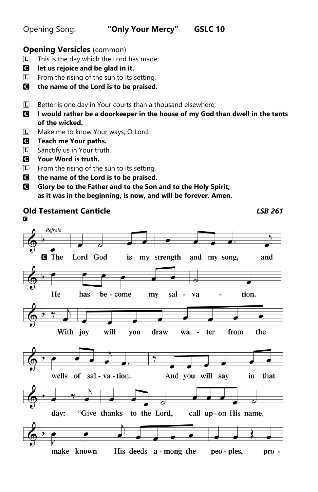# Opening Song: **"Only Your Mercy" GSLC 10**

## **Opening Versicles** (common)

- $\Box$  This is the day which the Lord has made;
- C **let us rejoice and be glad in it.**
- $\boxed{\mathbf{L}}$  From the rising of the sun to its setting,
- C **the name of the Lord is to be praised.**
- $\Box$  Better is one day in Your courts than a thousand elsewhere;
- C **I would rather be a doorkeeper in the house of my God than dwell in the tents of the wicked.**
- L Make me to know Your ways, O Lord.
- C **Teach me Your paths.**
- **L** Sanctify us in Your truth.
- C **Your Word is truth.**
- $\mathbf{L}$  From the rising of the sun to its setting,
- C **the name of the Lord is to be praised.**
- C **Glory be to the Father and to the Son and to the Holy Spirit; as it was in the beginning, is now, and will be forever. Amen.**

#### **Old Testament Canticle** *LSB 261* **C** Refrain **G** The Lord God my strength and my song, is and He has be - come my sal tion. va With joy will draw from the you wa ter  $\overline{a}$ wells of sal - va - tion. And you will say in that day: "Give thanks to the Lord, call up-on His name, make known His deeds a - mong the peo - ples, pro -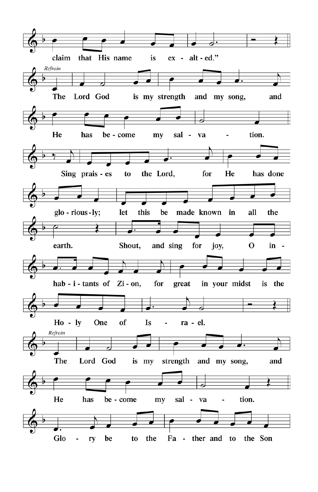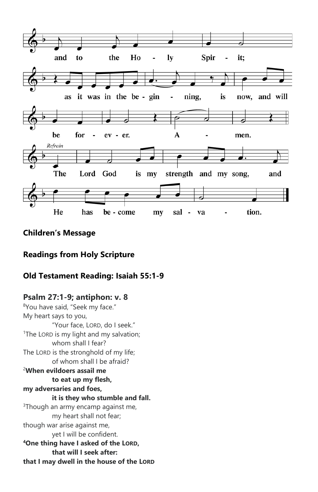

## **Children's Message**

## **Readings from Holy Scripture**

## **Old Testament Reading: Isaiah 55:1-9**

## **Psalm 27:1-9; antiphon: v. 8**

<sup>8</sup>You have said, "Seek my face." My heart says to you, "Your face, LORD, do I seek." <sup>1</sup>The LORD is my light and my salvation: whom shall I fear? The LORD is the stronghold of my life; of whom shall I be afraid? <sup>2</sup>**When evildoers assail me to eat up my flesh, my adversaries and foes, it is they who stumble and fall.** <sup>3</sup>Though an army encamp against me, my heart shall not fear; though war arise against me, yet I will be confident. **<sup>4</sup>One thing have I asked of the LORD, that will I seek after: that I may dwell in the house of the LORD**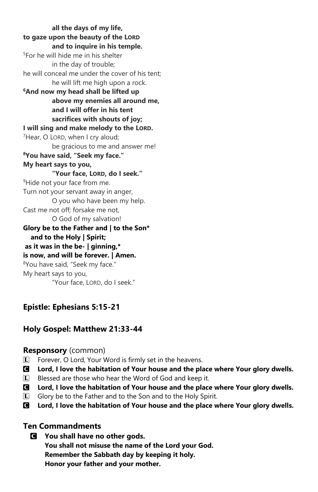**all the days of my life, to gaze upon the beauty of the LORD and to inquire in his temple.** <sup>5</sup>For he will hide me in his shelter in the day of trouble; he will conceal me under the cover of his tent; he will lift me high upon a rock. **<sup>6</sup>And now my head shall be lifted up above my enemies all around me, and I will offer in his tent sacrifices with shouts of joy; I will sing and make melody to the LORD.** <sup>7</sup>Hear, O LORD, when I cry aloud; be gracious to me and answer me! **<sup>8</sup>You have said, "Seek my face." My heart says to you, "Your face, LORD, do I seek."** <sup>9</sup>Hide not your face from me. Turn not your servant away in anger, O you who have been my help. Cast me not off; forsake me not, O God of my salvation! **Glory be to the Father and | to the Son\* and to the Holy | Spirit; as it was in the be- | ginning,\* is now, and will be forever. | Amen.**  <sup>8</sup>You have said, "Seek my face." My heart says to you, "Your face, LORD, do I seek."

## **Epistle: Ephesians 5:15-21**

## **Holy Gospel: Matthew 21:33-44**

## **Responsory** (common)

- L Forever, O Lord, Your Word is firmly set in the heavens.
- C **Lord, I love the habitation of Your house and the place where Your glory dwells.**
- $\Box$  Blessed are those who hear the Word of God and keep it.
- C **Lord, I love the habitation of Your house and the place where Your glory dwells.**
- L Glory be to the Father and to the Son and to the Holy Spirit.
- C **Lord, I love the habitation of Your house and the place where Your glory dwells.**

## **Ten Commandments**

C **You shall have no other gods. You shall not misuse the name of the Lord your God. Remember the Sabbath day by keeping it holy. Honor your father and your mother.**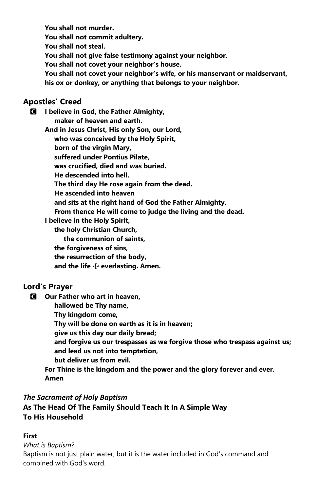**You shall not murder. You shall not commit adultery. You shall not steal. You shall not give false testimony against your neighbor. You shall not covet your neighbor's house. You shall not covet your neighbor's wife, or his manservant or maidservant, his ox or donkey, or anything that belongs to your neighbor.**

## **Apostles' Creed**

C **I believe in God, the Father Almighty, maker of heaven and earth. And in Jesus Christ, His only Son, our Lord, who was conceived by the Holy Spirit, born of the virgin Mary, suffered under Pontius Pilate, was crucified, died and was buried. He descended into hell. The third day He rose again from the dead. He ascended into heaven and sits at the right hand of God the Father Almighty. From thence He will come to judge the living and the dead. I believe in the Holy Spirit, the holy Christian Church, the communion of saints, the forgiveness of sins, the resurrection of the body,**

 **and the life** T **everlasting. Amen.**

## **Lord's Prayer**

C **Our Father who art in heaven,**

 **hallowed be Thy name,**

 **Thy kingdom come,**

 **Thy will be done on earth as it is in heaven;**

 **give us this day our daily bread;**

 **and forgive us our trespasses as we forgive those who trespass against us; and lead us not into temptation,**

 **but deliver us from evil.**

**For Thine is the kingdom and the power and the glory forever and ever. Amen**

## *The Sacrament of Holy Baptism*

**As The Head Of The Family Should Teach It In A Simple Way To His Household**

## **First**

*What is Baptism?*

Baptism is not just plain water, but it is the water included in God's command and combined with God's word.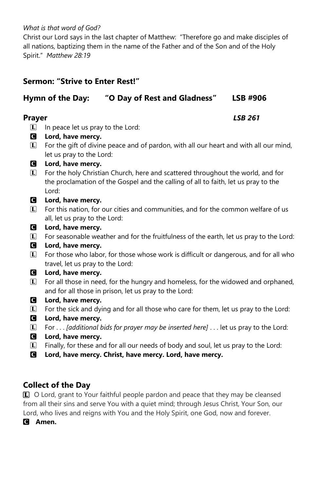#### *What is that word of God?*

Christ our Lord says in the last chapter of Matthew: "Therefore go and make disciples of all nations, baptizing them in the name of the Father and of the Son and of the Holy Spirit." *Matthew 28:19*

## **Sermon: "Strive to Enter Rest!"**

## **Hymn of the Day: "O Day of Rest and Gladness" LSB #906**

#### **Prayer** *LSB 261*

- $\Box$  In peace let us pray to the Lord:
- C **Lord, have mercy.**
- $\Gamma$  For the gift of divine peace and of pardon, with all our heart and with all our mind, let us pray to the Lord:
- C **Lord, have mercy.**
- L For the holy Christian Church, here and scattered throughout the world, and for the proclamation of the Gospel and the calling of all to faith, let us pray to the Lord:
- C **Lord, have mercy.**
- $\mathbb{L}$  For this nation, for our cities and communities, and for the common welfare of us all, let us pray to the Lord:
- C **Lord, have mercy.**
- L For seasonable weather and for the fruitfulness of the earth, let us pray to the Lord:
- C **Lord, have mercy.**
- $\vert \mathbf{L} \vert$  For those who labor, for those whose work is difficult or dangerous, and for all who travel, let us pray to the Lord:

#### C **Lord, have mercy.**

- $\vert \mathbf{L} \vert$  For all those in need, for the hungry and homeless, for the widowed and orphaned, and for all those in prison, let us pray to the Lord:
- C **Lord, have mercy.**
- L For the sick and dying and for all those who care for them, let us pray to the Lord:
- C **Lord, have mercy.**
- L For . . . *[additional bids for prayer may be inserted here]* . . . let us pray to the Lord:
- C **Lord, have mercy.**
- $\Box$  Finally, for these and for all our needs of body and soul, let us pray to the Lord:
- C **Lord, have mercy. Christ, have mercy. Lord, have mercy.**

## **Collect of the Day**

**L** O Lord, grant to Your faithful people pardon and peace that they may be cleansed from all their sins and serve You with a quiet mind; through Jesus Christ, Your Son, our Lord, who lives and reigns with You and the Holy Spirit, one God, now and forever.

C **Amen.**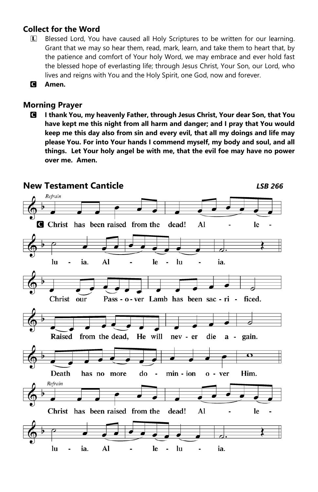## **Collect for the Word**

- L Blessed Lord, You have caused all Holy Scriptures to be written for our learning. Grant that we may so hear them, read, mark, learn, and take them to heart that, by the patience and comfort of Your holy Word, we may embrace and ever hold fast the blessed hope of everlasting life; through Jesus Christ, Your Son, our Lord, who lives and reigns with You and the Holy Spirit, one God, now and forever.
- C **Amen.**

## **Morning Prayer**

C **I thank You, my heavenly Father, through Jesus Christ, Your dear Son, that You have kept me this night from all harm and danger; and I pray that You would keep me this day also from sin and every evil, that all my doings and life may please You. For into Your hands I commend myself, my body and soul, and all things. Let Your holy angel be with me, that the evil foe may have no power over me. Amen.** 

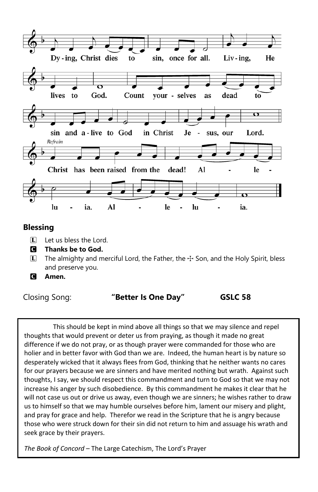

## **Blessing**

- L Let us bless the Lord.
- C **Thanks be to God.**
- $\Box$  The almighty and merciful Lord, the Father, the  $\div$  Son, and the Holy Spirit, bless and preserve you.
- C **Amen.**

#### Closing Song: **"Better Is One Day" GSLC 58**

This should be kept in mind above all things so that we may silence and repel thoughts that would prevent or deter us from praying, as though it made no great difference if we do not pray, or as though prayer were commanded for those who are holier and in better favor with God than we are. Indeed, the human heart is by nature so desperately wicked that it always flees from God, thinking that he neither wants no cares for our prayers because we are sinners and have merited nothing but wrath. Against such thoughts, I say, we should respect this commandment and turn to God so that we may not increase his anger by such disobedience. By this commandment he makes it clear that he will not case us out or drive us away, even though we are sinners; he wishes rather to draw us to himself so that we may humble ourselves before him, lament our misery and plight, and pray for grace and help. Therefor we read in the Scripture that he is angry because those who were struck down for their sin did not return to him and assuage his wrath and seek grace by their prayers.

*The Book of Concord* – The Large Catechism, The Lord's Prayer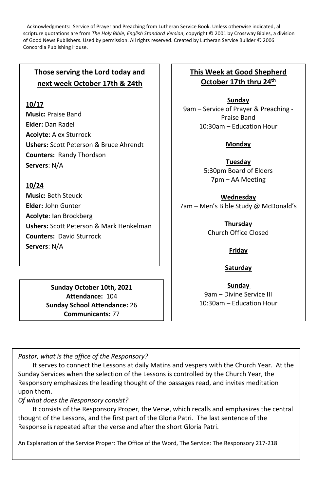Acknowledgments: Service of Prayer and Preaching from Lutheran Service Book. Unless otherwise indicated, all scripture quotations are from *The Holy Bible, English Standard Version*, copyright © 2001 by Crossway Bibles, a division of Good News Publishers. Used by permission. All rights reserved. Created by Lutheran Service Builder © 2006 Concordia Publishing House.

## **Those serving the Lord today and next week October 17th & 24th**

## **10/17**

**Music:** Praise Band **Elder:** Dan Radel **Acolyte**: Alex Sturrock **Ushers:** Scott Peterson & Bruce Ahrendt **Counters:** Randy Thordson **Servers**: N/A

## **10/24**

**Music:** Beth Steuck **Elder:** John Gunter **Acolyte**: Ian Brockberg **Ushers:** Scott Peterson & Mark Henkelman **Counters:** David Sturrock **Servers**: N/A

> **Sunday October 10th, 2021 Attendance:** 104 **Sunday School Attendance:** 26 **Communicants:** 77

## **This Week at Good Shepherd October 17th thru 24th**

**Sunday** 9am – Service of Prayer & Preaching - Praise Band 10:30am – Education Hour

## **Monday**

**Tuesday** 5:30pm Board of Elders 7pm – AA Meeting

**Wednesday** 7am – Men's Bible Study @ McDonald's

> **Thursday** Church Office Closed

## **Friday**

#### **Saturday**

**Sunday**  9am – Divine Service III 10:30am – Education Hour

*Pastor, what is the office of the Responsory?*

It serves to connect the Lessons at daily Matins and vespers with the Church Year. At the Sunday Services when the selection of the Lessons is controlled by the Church Year, the Responsory emphasizes the leading thought of the passages read, and invites meditation upon them.

#### *Of what does the Responsory consist?*

It consists of the Responsory Proper, the Verse, which recalls and emphasizes the central thought of the Lessons, and the first part of the Gloria Patri. The last sentence of the Response is repeated after the verse and after the short Gloria Patri.

An Explanation of the Service Proper: The Office of the Word, The Service: The Responsory 217-218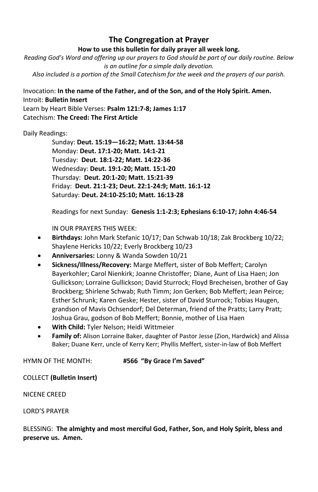## **The Congregation at Prayer**

#### **How to use this bulletin for daily prayer all week long.**

*Reading God's Word and offering up our prayers to God should be part of our daily routine. Below is an outline for a simple daily devotion. Also included is a portion of the Small Catechism for the week and the prayers of our parish.*

Invocation: **In the name of the Father, and of the Son, and of the Holy Spirit. Amen.** Introit: **Bulletin Insert** Learn by Heart Bible Verses: **Psalm 121:7-8; James 1:17** Catechism: **The Creed: The First Article**

Daily Readings:

Sunday: **Deut. 15:19—16:22; Matt. 13:44-58** Monday: **Deut. 17:1-20; Matt. 14:1-21** Tuesday: **Deut. 18:1-22; Matt. 14:22-36** Wednesday: **Deut. 19:1-20; Matt. 15:1-20** Thursday: **Deut. 20:1-20; Matt. 15:21-39** Friday: **Deut. 21:1-23; Deut. 22:1-24:9; Matt. 16:1-12** Saturday: **Deut. 24:10-25:10; Matt. 16:13-28**

Readings for next Sunday: **Genesis 1:1-2:3; Ephesians 6:10-17; John 4:46-54**

IN OUR PRAYERS THIS WEEK:

- **Birthdays:** John Mark Stefanic 10/17; Dan Schwab 10/18; Zak Brockberg 10/22; Shaylene Hericks 10/22; Everly Brockberg 10/23
- **Anniversaries:** Lonny & Wanda Sowden 10/21
- **Sickness/Illness/Recovery:** Marge Meffert, sister of Bob Meffert; Carolyn Bayerkohler; Carol Nienkirk; Joanne Christoffer; Diane, Aunt of Lisa Haen; Jon Gullickson; Lorraine Gullickson; David Sturrock; Floyd Brecheisen, brother of Gay Brockberg; Shirlene Schwab; Ruth Timm; Jon Gerken; Bob Meffert; Jean Peirce; Esther Schrunk; Karen Geske; Hester, sister of David Sturrock; Tobias Haugen, grandson of Mavis Ochsendorf; Del Determan, friend of the Pratts; Larry Pratt; Joshua Grau, godson of Bob Meffert; Bonnie, mother of Lisa Haen
- **With Child:** Tyler Nelson; Heidi Wittmeier
- **Family of:** Alison Lorraine Baker, daughter of Pastor Jesse (Zion, Hardwick) and Alissa Baker; Duane Kerr, uncle of Kerry Kerr; Phyllis Meffert, sister-in-law of Bob Meffert

HYMN OF THE MONTH: **#566 "By Grace I'm Saved"**

COLLECT **(Bulletin Insert)**

NICENE CREED

LORD'S PRAYER

#### BLESSING: **The almighty and most merciful God, Father, Son, and Holy Spirit, bless and preserve us. Amen.**